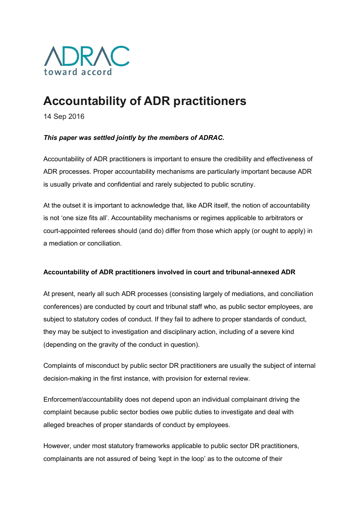

# Accountability of ADR practitioners

14 Sep 2016

# This paper was settled jointly by the members of ADRAC.

Accountability of ADR practitioners is important to ensure the credibility and effectiveness of ADR processes. Proper accountability mechanisms are particularly important because ADR is usually private and confidential and rarely subjected to public scrutiny.

At the outset it is important to acknowledge that, like ADR itself, the notion of accountability is not 'one size fits all'. Accountability mechanisms or regimes applicable to arbitrators or court-appointed referees should (and do) differ from those which apply (or ought to apply) in a mediation or conciliation.

## Accountability of ADR practitioners involved in court and tribunal-annexed ADR

At present, nearly all such ADR processes (consisting largely of mediations, and conciliation conferences) are conducted by court and tribunal staff who, as public sector employees, are subject to statutory codes of conduct. If they fail to adhere to proper standards of conduct, they may be subject to investigation and disciplinary action, including of a severe kind (depending on the gravity of the conduct in question).

Complaints of misconduct by public sector DR practitioners are usually the subject of internal decision-making in the first instance, with provision for external review.

Enforcement/accountability does not depend upon an individual complainant driving the complaint because public sector bodies owe public duties to investigate and deal with alleged breaches of proper standards of conduct by employees.

However, under most statutory frameworks applicable to public sector DR practitioners, complainants are not assured of being 'kept in the loop' as to the outcome of their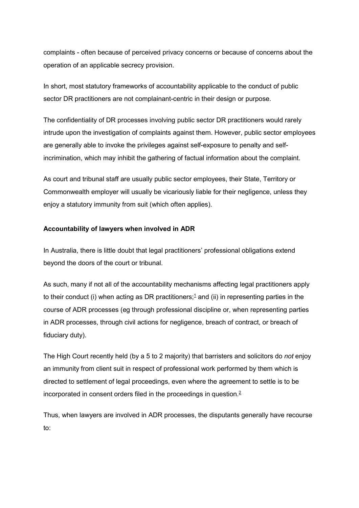complaints - often because of perceived privacy concerns or because of concerns about the operation of an applicable secrecy provision.

In short, most statutory frameworks of accountability applicable to the conduct of public sector DR practitioners are not complainant-centric in their design or purpose.

The confidentiality of DR processes involving public sector DR practitioners would rarely intrude upon the investigation of complaints against them. However, public sector employees are generally able to invoke the privileges against self-exposure to penalty and selfincrimination, which may inhibit the gathering of factual information about the complaint.

As court and tribunal staff are usually public sector employees, their State, Territory or Commonwealth employer will usually be vicariously liable for their negligence, unless they enjoy a statutory immunity from suit (which often applies).

## Accountability of lawyers when involved in ADR

In Australia, there is little doubt that legal practitioners' professional obligations extend beyond the doors of the court or tribunal.

As such, many if not all of the accountability mechanisms affecting legal practitioners apply to their conduct (i) when acting as DR practitioners;<sup>1</sup> and (ii) in representing parties in the course of ADR processes (eg through professional discipline or, when representing parties in ADR processes, through civil actions for negligence, breach of contract, or breach of fiduciary duty).

The High Court recently held (by a 5 to 2 majority) that barristers and solicitors do not enjoy an immunity from client suit in respect of professional work performed by them which is directed to settlement of legal proceedings, even where the agreement to settle is to be incorporated in consent orders filed in the proceedings in question. $\frac{2}{3}$ 

Thus, when lawyers are involved in ADR processes, the disputants generally have recourse to: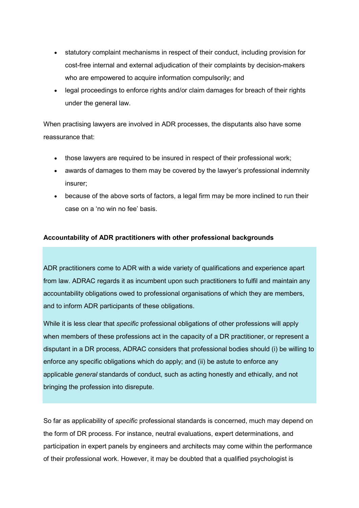- statutory complaint mechanisms in respect of their conduct, including provision for cost-free internal and external adjudication of their complaints by decision-makers who are empowered to acquire information compulsorily; and
- legal proceedings to enforce rights and/or claim damages for breach of their rights under the general law.

When practising lawyers are involved in ADR processes, the disputants also have some reassurance that:

- those lawyers are required to be insured in respect of their professional work;
- awards of damages to them may be covered by the lawyer's professional indemnity insurer;
- because of the above sorts of factors, a legal firm may be more inclined to run their case on a 'no win no fee' basis.

## Accountability of ADR practitioners with other professional backgrounds

ADR practitioners come to ADR with a wide variety of qualifications and experience apart from law. ADRAC regards it as incumbent upon such practitioners to fulfil and maintain any accountability obligations owed to professional organisations of which they are members, and to inform ADR participants of these obligations.

While it is less clear that specific professional obligations of other professions will apply when members of these professions act in the capacity of a DR practitioner, or represent a disputant in a DR process, ADRAC considers that professional bodies should (i) be willing to enforce any specific obligations which do apply; and (ii) be astute to enforce any applicable *general* standards of conduct, such as acting honestly and ethically, and not bringing the profession into disrepute.

So far as applicability of specific professional standards is concerned, much may depend on the form of DR process. For instance, neutral evaluations, expert determinations, and participation in expert panels by engineers and architects may come within the performance of their professional work. However, it may be doubted that a qualified psychologist is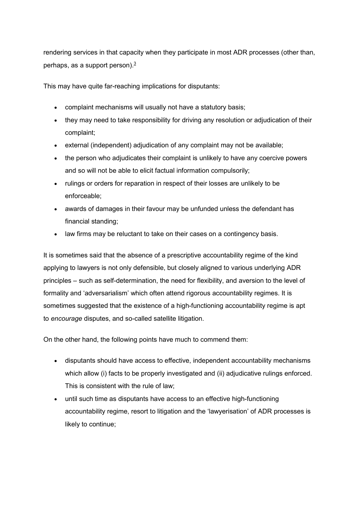rendering services in that capacity when they participate in most ADR processes (other than, perhaps, as a support person). $3/3$ 

This may have quite far-reaching implications for disputants:

- complaint mechanisms will usually not have a statutory basis;
- they may need to take responsibility for driving any resolution or adjudication of their complaint;
- external (independent) adjudication of any complaint may not be available;
- the person who adjudicates their complaint is unlikely to have any coercive powers and so will not be able to elicit factual information compulsorily;
- rulings or orders for reparation in respect of their losses are unlikely to be enforceable;
- awards of damages in their favour may be unfunded unless the defendant has financial standing;
- law firms may be reluctant to take on their cases on a contingency basis.

It is sometimes said that the absence of a prescriptive accountability regime of the kind applying to lawyers is not only defensible, but closely aligned to various underlying ADR principles – such as self-determination, the need for flexibility, and aversion to the level of formality and 'adversarialism' which often attend rigorous accountability regimes. It is sometimes suggested that the existence of a high-functioning accountability regime is apt to encourage disputes, and so-called satellite litigation.

On the other hand, the following points have much to commend them:

- disputants should have access to effective, independent accountability mechanisms which allow (i) facts to be properly investigated and (ii) adjudicative rulings enforced. This is consistent with the rule of law;
- until such time as disputants have access to an effective high-functioning accountability regime, resort to litigation and the 'lawyerisation' of ADR processes is likely to continue;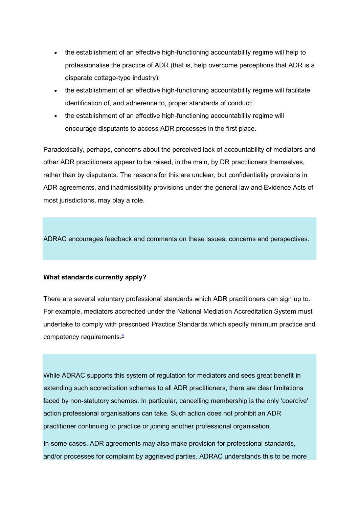- the establishment of an effective high-functioning accountability regime will help to professionalise the practice of ADR (that is, help overcome perceptions that ADR is a disparate cottage-type industry);
- the establishment of an effective high-functioning accountability regime will facilitate identification of, and adherence to, proper standards of conduct;
- the establishment of an effective high-functioning accountability regime will encourage disputants to access ADR processes in the first place.

Paradoxically, perhaps, concerns about the perceived lack of accountability of mediators and other ADR practitioners appear to be raised, in the main, by DR practitioners themselves, rather than by disputants. The reasons for this are unclear, but confidentiality provisions in ADR agreements, and inadmissibility provisions under the general law and Evidence Acts of most jurisdictions, may play a role.

ADRAC encourages feedback and comments on these issues, concerns and perspectives.

## What standards currently apply?

There are several voluntary professional standards which ADR practitioners can sign up to. For example, mediators accredited under the National Mediation Accreditation System must undertake to comply with prescribed Practice Standards which specify minimum practice and competency requirements. $4$ 

While ADRAC supports this system of regulation for mediators and sees great benefit in extending such accreditation schemes to all ADR practitioners, there are clear limitations faced by non-statutory schemes. In particular, cancelling membership is the only 'coercive' action professional organisations can take. Such action does not prohibit an ADR practitioner continuing to practice or joining another professional organisation.

In some cases, ADR agreements may also make provision for professional standards, and/or processes for complaint by aggrieved parties. ADRAC understands this to be more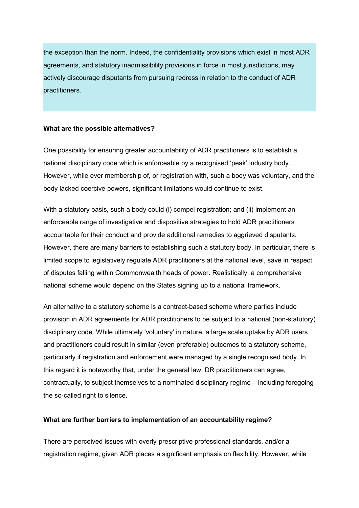the exception than the norm. Indeed, the confidentiality provisions which exist in most ADR agreements, and statutory inadmissibility provisions in force in most jurisdictions, may actively discourage disputants from pursuing redress in relation to the conduct of ADR practitioners.

#### What are the possible alternatives?

One possibility for ensuring greater accountability of ADR practitioners is to establish a national disciplinary code which is enforceable by a recognised 'peak' industry body. However, while ever membership of, or registration with, such a body was voluntary, and the body lacked coercive powers, significant limitations would continue to exist.

With a statutory basis, such a body could (i) compel registration; and (ii) implement an enforceable range of investigative and dispositive strategies to hold ADR practitioners accountable for their conduct and provide additional remedies to aggrieved disputants. However, there are many barriers to establishing such a statutory body. In particular, there is limited scope to legislatively regulate ADR practitioners at the national level, save in respect of disputes falling within Commonwealth heads of power. Realistically, a comprehensive national scheme would depend on the States signing up to a national framework.

An alternative to a statutory scheme is a contract-based scheme where parties include provision in ADR agreements for ADR practitioners to be subject to a national (non-statutory) disciplinary code. While ultimately 'voluntary' in nature, a large scale uptake by ADR users and practitioners could result in similar (even preferable) outcomes to a statutory scheme, particularly if registration and enforcement were managed by a single recognised body. In this regard it is noteworthy that, under the general law, DR practitioners can agree, contractually, to subject themselves to a nominated disciplinary regime – including foregoing the so-called right to silence.

#### What are further barriers to implementation of an accountability regime?

There are perceived issues with overly-prescriptive professional standards, and/or a registration regime, given ADR places a significant emphasis on flexibility. However, while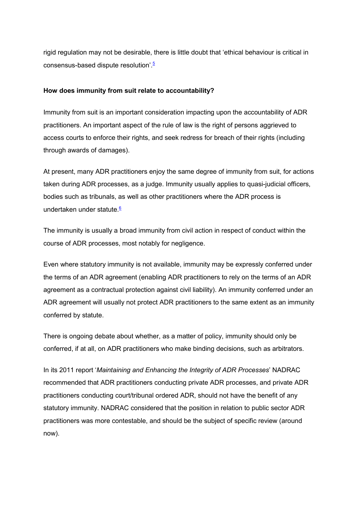rigid regulation may not be desirable, there is little doubt that 'ethical behaviour is critical in consensus-based dispute resolution'.<sup>5</sup>

## How does immunity from suit relate to accountability?

Immunity from suit is an important consideration impacting upon the accountability of ADR practitioners. An important aspect of the rule of law is the right of persons aggrieved to access courts to enforce their rights, and seek redress for breach of their rights (including through awards of damages).

At present, many ADR practitioners enjoy the same degree of immunity from suit, for actions taken during ADR processes, as a judge. Immunity usually applies to quasi-judicial officers, bodies such as tribunals, as well as other practitioners where the ADR process is undertaken under statute.<sup>6</sup>

The immunity is usually a broad immunity from civil action in respect of conduct within the course of ADR processes, most notably for negligence.

Even where statutory immunity is not available, immunity may be expressly conferred under the terms of an ADR agreement (enabling ADR practitioners to rely on the terms of an ADR agreement as a contractual protection against civil liability). An immunity conferred under an ADR agreement will usually not protect ADR practitioners to the same extent as an immunity conferred by statute.

There is ongoing debate about whether, as a matter of policy, immunity should only be conferred, if at all, on ADR practitioners who make binding decisions, such as arbitrators.

In its 2011 report 'Maintaining and Enhancing the Integrity of ADR Processes' NADRAC recommended that ADR practitioners conducting private ADR processes, and private ADR practitioners conducting court/tribunal ordered ADR, should not have the benefit of any statutory immunity. NADRAC considered that the position in relation to public sector ADR practitioners was more contestable, and should be the subject of specific review (around now).